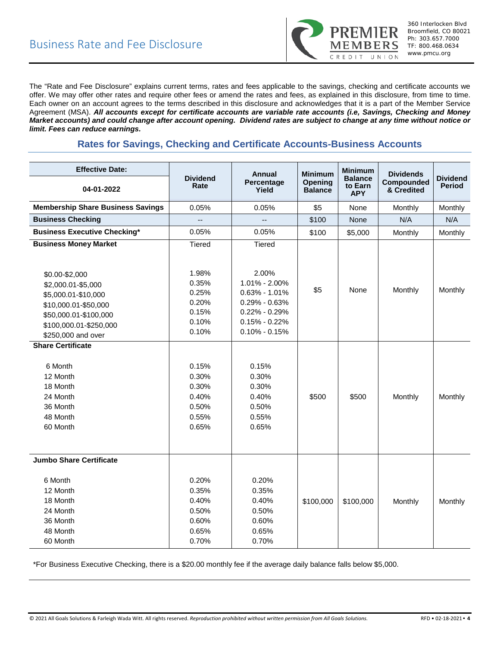

The "Rate and Fee Disclosure" explains current terms, rates and fees applicable to the savings, checking and certificate accounts we offer. We may offer other rates and require other fees or amend the rates and fees, as explained in this disclosure, from time to time. Each owner on an account agrees to the terms described in this disclosure and acknowledges that it is a part of the Member Service Agreement (MSA). *All accounts except for certificate accounts are variable rate accounts (i.e, Savings, Checking and Money Market accounts) and could change after account opening. Dividend rates are subject to change at any time without notice or limit. Fees can reduce earnings.*

# **Rates for Savings, Checking and Certificate Accounts-Business Accounts**

| <b>Effective Date:</b>                   |                          | Annual              | <b>Minimum</b><br>Opening<br><b>Balance</b> | <b>Minimum</b><br><b>Balance</b><br>to Earn<br><b>APY</b> | <b>Dividends</b><br>Compounded<br>& Credited | <b>Dividend</b><br><b>Period</b> |
|------------------------------------------|--------------------------|---------------------|---------------------------------------------|-----------------------------------------------------------|----------------------------------------------|----------------------------------|
| 04-01-2022                               | <b>Dividend</b><br>Rate  | Percentage<br>Yield |                                             |                                                           |                                              |                                  |
| <b>Membership Share Business Savings</b> | 0.05%                    | 0.05%               | \$5                                         | None                                                      | Monthly                                      | Monthly                          |
| <b>Business Checking</b>                 | $\overline{\phantom{a}}$ | 44                  | \$100                                       | None                                                      | N/A                                          | N/A                              |
| <b>Business Executive Checking*</b>      | 0.05%                    | 0.05%               | \$100                                       | \$5,000                                                   | Monthly                                      | Monthly                          |
| <b>Business Money Market</b>             | <b>Tiered</b>            | Tiered              |                                             |                                                           |                                              |                                  |
|                                          |                          |                     |                                             |                                                           |                                              |                                  |
|                                          | 1.98%                    | 2.00%               |                                             |                                                           |                                              |                                  |
| \$0.00-\$2,000                           | 0.35%                    | 1.01% - 2.00%       |                                             |                                                           |                                              |                                  |
| \$2,000.01-\$5,000                       | 0.25%                    | $0.63\% - 1.01\%$   | \$5                                         | None                                                      | Monthly                                      | Monthly                          |
| \$5,000.01-\$10,000                      | 0.20%                    | $0.29\% - 0.63\%$   |                                             |                                                           |                                              |                                  |
| \$10,000.01-\$50,000                     | 0.15%                    | $0.22\% - 0.29\%$   |                                             |                                                           |                                              |                                  |
| \$50,000.01-\$100,000                    | 0.10%                    | $0.15\% - 0.22\%$   |                                             |                                                           |                                              |                                  |
| \$100,000.01-\$250,000                   | 0.10%                    | $0.10\% - 0.15\%$   |                                             |                                                           |                                              |                                  |
| \$250,000 and over                       |                          |                     |                                             |                                                           |                                              |                                  |
| <b>Share Certificate</b>                 |                          |                     |                                             |                                                           |                                              |                                  |
| 6 Month                                  | 0.15%                    | 0.15%               |                                             |                                                           |                                              |                                  |
| 12 Month                                 | 0.30%                    | 0.30%               |                                             |                                                           |                                              |                                  |
| 18 Month                                 | 0.30%                    | 0.30%               |                                             |                                                           |                                              |                                  |
| 24 Month                                 | 0.40%                    | 0.40%               | \$500                                       | \$500                                                     |                                              |                                  |
| 36 Month                                 | 0.50%                    | 0.50%               |                                             |                                                           | Monthly                                      | Monthly                          |
| 48 Month                                 | 0.55%                    | 0.55%               |                                             |                                                           |                                              |                                  |
| 60 Month                                 | 0.65%                    | 0.65%               |                                             |                                                           |                                              |                                  |
|                                          |                          |                     |                                             |                                                           |                                              |                                  |
|                                          |                          |                     |                                             |                                                           |                                              |                                  |
| <b>Jumbo Share Certificate</b>           |                          |                     |                                             |                                                           |                                              |                                  |
|                                          |                          |                     |                                             |                                                           |                                              |                                  |
| 6 Month                                  | 0.20%                    | 0.20%               |                                             |                                                           |                                              |                                  |
| 12 Month                                 | 0.35%                    | 0.35%               |                                             |                                                           |                                              |                                  |
| 18 Month                                 | 0.40%                    | 0.40%               | \$100,000                                   | \$100,000                                                 | Monthly                                      | Monthly                          |
| 24 Month                                 | 0.50%                    | 0.50%               |                                             |                                                           |                                              |                                  |
| 36 Month                                 | 0.60%                    | 0.60%               |                                             |                                                           |                                              |                                  |
| 48 Month                                 | 0.65%                    | 0.65%               |                                             |                                                           |                                              |                                  |
| 60 Month                                 | 0.70%                    | 0.70%               |                                             |                                                           |                                              |                                  |

\*For Business Executive Checking, there is a \$20.00 monthly fee if the average daily balance falls below \$5,000.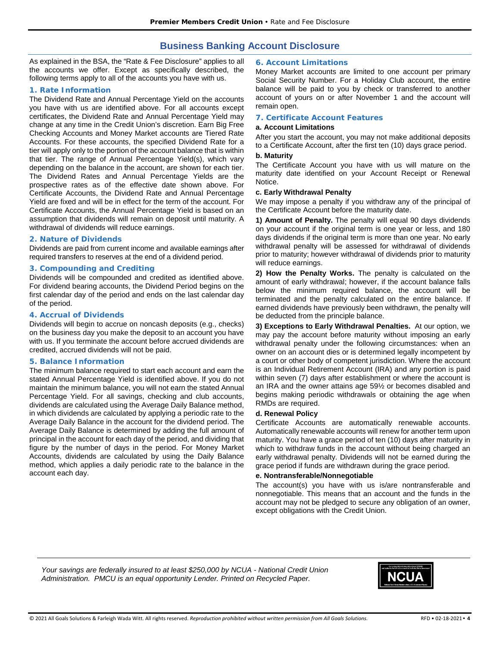## **Business Banking Account Disclosure**

As explained in the BSA, the "Rate & Fee Disclosure" applies to all the accounts we offer. Except as specifically described, the following terms apply to all of the accounts you have with us.

## **1. Rate Information**

The Dividend Rate and Annual Percentage Yield on the accounts you have with us are identified above. For all accounts except certificates, the Dividend Rate and Annual Percentage Yield may change at any time in the Credit Union's discretion. Earn Big Free Checking Accounts and Money Market accounts are Tiered Rate Accounts. For these accounts, the specified Dividend Rate for a tier will apply only to the portion of the account balance that is within that tier. The range of Annual Percentage Yield(s), which vary depending on the balance in the account, are shown for each tier. The Dividend Rates and Annual Percentage Yields are the prospective rates as of the effective date shown above. For Certificate Accounts, the Dividend Rate and Annual Percentage Yield are fixed and will be in effect for the term of the account. For Certificate Accounts, the Annual Percentage Yield is based on an assumption that dividends will remain on deposit until maturity. A withdrawal of dividends will reduce earnings.

#### **2. Nature of Dividends**

Dividends are paid from current income and available earnings after required transfers to reserves at the end of a dividend period.

## **3. Compounding and Crediting**

Dividends will be compounded and credited as identified above. For dividend bearing accounts, the Dividend Period begins on the first calendar day of the period and ends on the last calendar day of the period.

## **4. Accrual of Dividends**

Dividends will begin to accrue on noncash deposits (e.g., checks) on the business day you make the deposit to an account you have with us. If you terminate the account before accrued dividends are credited, accrued dividends will not be paid.

#### **5. Balance Information**

The minimum balance required to start each account and earn the stated Annual Percentage Yield is identified above. If you do not maintain the minimum balance, you will not earn the stated Annual Percentage Yield. For all savings, checking and club accounts, dividends are calculated using the Average Daily Balance method, in which dividends are calculated by applying a periodic rate to the Average Daily Balance in the account for the dividend period. The Average Daily Balance is determined by adding the full amount of principal in the account for each day of the period, and dividing that figure by the number of days in the period. For Money Market Accounts, dividends are calculated by using the Daily Balance method, which applies a daily periodic rate to the balance in the account each day.

## **6. Account Limitations**

Money Market accounts are limited to one account per primary Social Security Number. For a Holiday Club account, the entire balance will be paid to you by check or transferred to another account of yours on or after November 1 and the account will remain open.

#### **7. Certificate Account Features**

#### **a. Account Limitations**

After you start the account, you may not make additional deposits to a Certificate Account, after the first ten (10) days grace period.

### **b. Maturity**

The Certificate Account you have with us will mature on the maturity date identified on your Account Receipt or Renewal Notice.

#### **c. Early Withdrawal Penalty**

We may impose a penalty if you withdraw any of the principal of the Certificate Account before the maturity date.

**1) Amount of Penalty.** The penalty will equal 90 days dividends on your account if the original term is one year or less, and 180 days dividends if the original term is more than one year. No early withdrawal penalty will be assessed for withdrawal of dividends prior to maturity; however withdrawal of dividends prior to maturity will reduce earnings.

**2) How the Penalty Works.** The penalty is calculated on the amount of early withdrawal; however, if the account balance falls below the minimum required balance, the account will be terminated and the penalty calculated on the entire balance. If earned dividends have previously been withdrawn, the penalty will be deducted from the principle balance.

**3) Exceptions to Early Withdrawal Penalties.** At our option, we may pay the account before maturity without imposing an early withdrawal penalty under the following circumstances: when an owner on an account dies or is determined legally incompetent by a court or other body of competent jurisdiction. Where the account is an Individual Retirement Account (IRA) and any portion is paid within seven (7) days after establishment or where the account is an IRA and the owner attains age 59½ or becomes disabled and begins making periodic withdrawals or obtaining the age when RMDs are required.

## **d. Renewal Policy**

Certificate Accounts are automatically renewable accounts. Automatically renewable accounts will renew for another term upon maturity. You have a grace period of ten (10) days after maturity in which to withdraw funds in the account without being charged an early withdrawal penalty. Dividends will not be earned during the grace period if funds are withdrawn during the grace period.

#### **e. Nontransferable/Nonnegotiable**

The account(s) you have with us is/are nontransferable and nonnegotiable. This means that an account and the funds in the account may not be pledged to secure any obligation of an owner, except obligations with the Credit Union.

*Your savings are federally insured to at least \$250,000 by NCUA - National Credit Union Administration. PMCU is an equal opportunity Lender. Printed on Recycled Paper.*